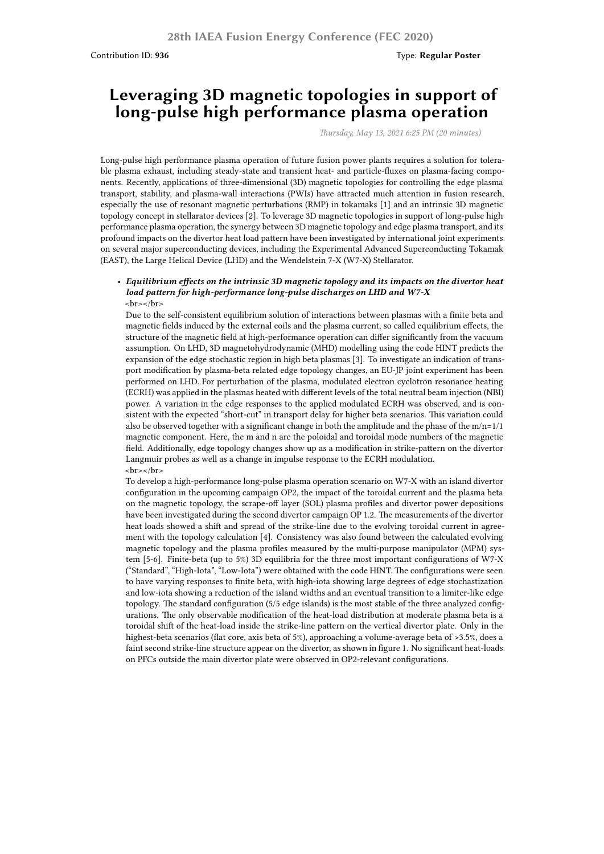# **Leveraging 3D magnetic topologies in support of long-pulse high performance plasma operation**

*Thursday, May 13, 2021 6:25 PM (20 minutes)*

Long-pulse high performance plasma operation of future fusion power plants requires a solution for tolerable plasma exhaust, including steady-state and transient heat- and particle-fluxes on plasma-facing components. Recently, applications of three-dimensional (3D) magnetic topologies for controlling the edge plasma transport, stability, and plasma-wall interactions (PWIs) have attracted much attention in fusion research, especially the use of resonant magnetic perturbations (RMP) in tokamaks [1] and an intrinsic 3D magnetic topology concept in stellarator devices [2]. To leverage 3D magnetic topologies in support of long-pulse high performance plasma operation, the synergy between 3D magnetic topology and edge plasma transport, and its profound impacts on the divertor heat load pattern have been investigated by international joint experiments on several major superconducting devices, including the Experimental Advanced Superconducting Tokamak (EAST), the Large Helical Device (LHD) and the Wendelstein 7-X (W7-X) Stellarator.

#### • *Equilibrium effects on the intrinsic 3D magnetic topology and its impacts on the divertor heat load pattern for high-performance long-pulse discharges on LHD and W7-X*  $-br>-br>$

Due to the self-consistent equilibrium solution of interactions between plasmas with a finite beta and magnetic fields induced by the external coils and the plasma current, so called equilibrium effects, the structure of the magnetic field at high-performance operation can differ significantly from the vacuum assumption. On LHD, 3D magnetohydrodynamic (MHD) modelling using the code HINT predicts the expansion of the edge stochastic region in high beta plasmas [3]. To investigate an indication of transport modification by plasma-beta related edge topology changes, an EU-JP joint experiment has been performed on LHD. For perturbation of the plasma, modulated electron cyclotron resonance heating (ECRH) was applied in the plasmas heated with different levels of the total neutral beam injection (NBI) power. A variation in the edge responses to the applied modulated ECRH was observed, and is consistent with the expected "short-cut" in transport delay for higher beta scenarios. This variation could also be observed together with a significant change in both the amplitude and the phase of the m/n=1/1 magnetic component. Here, the m and n are the poloidal and toroidal mode numbers of the magnetic field. Additionally, edge topology changes show up as a modification in strike-pattern on the divertor Langmuir probes as well as a change in impulse response to the ECRH modulation.  $\text{>}$ 

To develop a high-performance long-pulse plasma operation scenario on W7-X with an island divertor configuration in the upcoming campaign OP2, the impact of the toroidal current and the plasma beta on the magnetic topology, the scrape-off layer (SOL) plasma profiles and divertor power depositions have been investigated during the second divertor campaign OP 1.2. The measurements of the divertor heat loads showed a shift and spread of the strike-line due to the evolving toroidal current in agreement with the topology calculation [4]. Consistency was also found between the calculated evolving magnetic topology and the plasma profiles measured by the multi-purpose manipulator (MPM) system [5-6]. Finite-beta (up to 5%) 3D equilibria for the three most important configurations of W7-X ("Standard", "High-Iota", "Low-Iota") were obtained with the code HINT. The configurations were seen to have varying responses to finite beta, with high-iota showing large degrees of edge stochastization and low-iota showing a reduction of the island widths and an eventual transition to a limiter-like edge topology. The standard configuration (5/5 edge islands) is the most stable of the three analyzed configurations. The only observable modification of the heat-load distribution at moderate plasma beta is a toroidal shift of the heat-load inside the strike-line pattern on the vertical divertor plate. Only in the highest-beta scenarios (flat core, axis beta of 5%), approaching a volume-average beta of >3.5%, does a faint second strike-line structure appear on the divertor, as shown in figure 1. No significant heat-loads on PFCs outside the main divertor plate were observed in OP2-relevant configurations.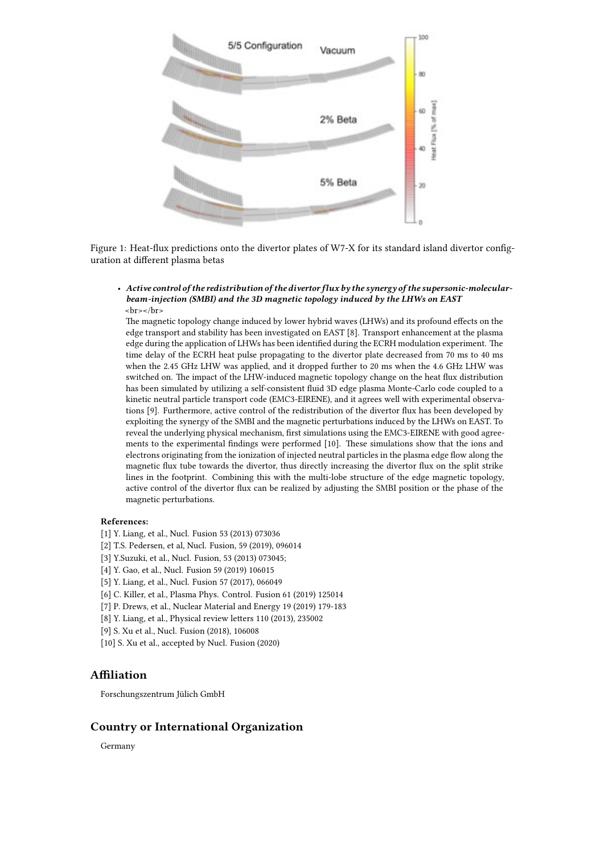

Figure 1: Heat-flux predictions onto the divertor plates of W7-X for its standard island divertor configuration at different plasma betas

• *Active control of the redistribution of the divertor flux by the synergy of the supersonic-molecularbeam-injection (SMBI) and the 3D magnetic topology induced by the LHWs on EAST* <br></br>

The magnetic topology change induced by lower hybrid waves (LHWs) and its profound effects on the edge transport and stability has been investigated on EAST [8]. Transport enhancement at the plasma edge during the application of LHWs has been identified during the ECRH modulation experiment. The time delay of the ECRH heat pulse propagating to the divertor plate decreased from 70 ms to 40 ms when the 2.45 GHz LHW was applied, and it dropped further to 20 ms when the 4.6 GHz LHW was switched on. The impact of the LHW-induced magnetic topology change on the heat flux distribution has been simulated by utilizing a self-consistent fluid 3D edge plasma Monte-Carlo code coupled to a kinetic neutral particle transport code (EMC3-EIRENE), and it agrees well with experimental observations [9]. Furthermore, active control of the redistribution of the divertor flux has been developed by exploiting the synergy of the SMBI and the magnetic perturbations induced by the LHWs on EAST. To reveal the underlying physical mechanism, first simulations using the EMC3-EIRENE with good agreements to the experimental findings were performed [10]. These simulations show that the ions and electrons originating from the ionization of injected neutral particles in the plasma edge flow along the magnetic flux tube towards the divertor, thus directly increasing the divertor flux on the split strike lines in the footprint. Combining this with the multi-lobe structure of the edge magnetic topology, active control of the divertor flux can be realized by adjusting the SMBI position or the phase of the magnetic perturbations.

#### **References:**

- [1] Y. Liang, et al., Nucl. Fusion 53 (2013) 073036
- [2] T.S. Pedersen, et al, Nucl. Fusion, 59 (2019), 096014
- [3] Y.Suzuki, et al., Nucl. Fusion, 53 (2013) 073045;
- [4] Y. Gao, et al., Nucl. Fusion 59 (2019) 106015
- [5] Y. Liang, et al., Nucl. Fusion 57 (2017), 066049
- [6] C. Killer, et al., Plasma Phys. Control. Fusion 61 (2019) 125014
- [7] P. Drews, et al., Nuclear Material and Energy 19 (2019) 179-183
- [8] Y. Liang, et al., Physical review letters 110 (2013), 235002
- [9] S. Xu et al., Nucl. Fusion (2018), 106008
- [10] S. Xu et al., accepted by Nucl. Fusion (2020)

## **Affiliation**

Forschungszentrum Jülich GmbH

### **Country or International Organization**

Germany